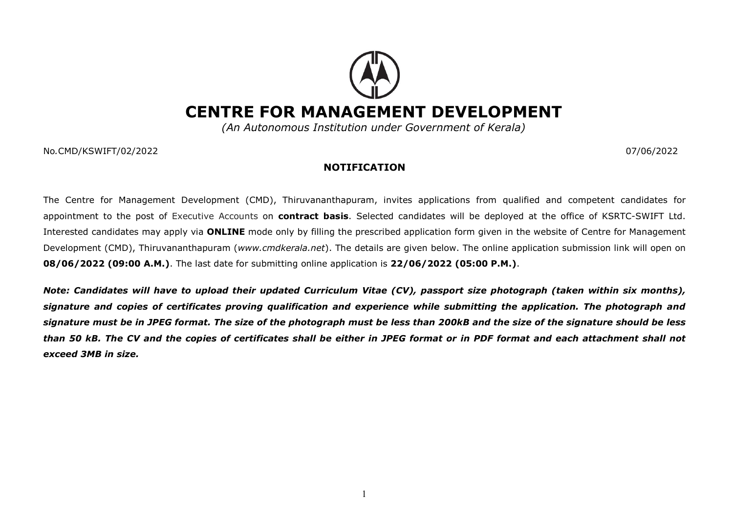# CENTRE FOR MANAGEMENT DEVELOPMENT

(An Autonomous Institution under Government of Kerala)

#### No.CMD/KSWIFT/02/2022 07/06/2022

### NOTIFICATION

The Centre for Management Development (CMD), Thiruvananthapuram, invites applications from qualified and competent candidates for appointment to the post of Executive Accounts on **contract basis**. Selected candidates will be deployed at the office of KSRTC-SWIFT Ltd. Interested candidates may apply via **ONLINE** mode only by filling the prescribed application form given in the website of Centre for Management Development (CMD), Thiruvananthapuram (www.cmdkerala.net). The details are given below. The online application submission link will open on 08/06/2022 (09:00 A.M.). The last date for submitting online application is 22/06/2022 (05:00 P.M.).

Note: Candidates will have to upload their updated Curriculum Vitae (CV), passport size photograph (taken within six months), signature and copies of certificates proving qualification and experience while submitting the application. The photograph and signature must be in JPEG format. The size of the photograph must be less than 200kB and the size of the signature should be less than 50 kB. The CV and the copies of certificates shall be either in JPEG format or in PDF format and each attachment shall not exceed 3MB in size.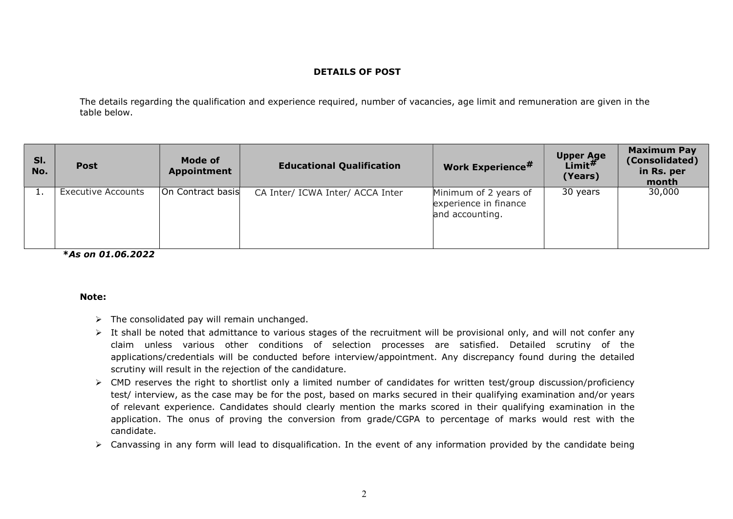## DETAILS OF POST

The details regarding the qualification and experience required, number of vacancies, age limit and remuneration are given in the table below.

| SI.<br>No. | <b>Post</b>               | <b>Mode of</b><br>Appointment | <b>Educational Qualification</b> | <b>Work Experience#</b>                                           | <b>Upper Age</b><br>Limit $#$<br>(Years) | <b>Maximum Pay</b><br>(Consolidated)<br>in Rs. per<br>month |
|------------|---------------------------|-------------------------------|----------------------------------|-------------------------------------------------------------------|------------------------------------------|-------------------------------------------------------------|
|            | <b>Executive Accounts</b> | On Contract basis             | CA Inter/ ICWA Inter/ ACCA Inter | Minimum of 2 years of<br>experience in finance<br>and accounting. | 30 years                                 | 30,000                                                      |

\*As on 01.06.2022

### Note:

- $\triangleright$  The consolidated pay will remain unchanged.
- $\triangleright$  It shall be noted that admittance to various stages of the recruitment will be provisional only, and will not confer any claim unless various other conditions of selection processes are satisfied. Detailed scrutiny of the applications/credentials will be conducted before interview/appointment. Any discrepancy found during the detailed scrutiny will result in the rejection of the candidature.
- CMD reserves the right to shortlist only a limited number of candidates for written test/group discussion/proficiency test/ interview, as the case may be for the post, based on marks secured in their qualifying examination and/or years of relevant experience. Candidates should clearly mention the marks scored in their qualifying examination in the application. The onus of proving the conversion from grade/CGPA to percentage of marks would rest with the candidate.
- $\triangleright$  Canvassing in any form will lead to disqualification. In the event of any information provided by the candidate being